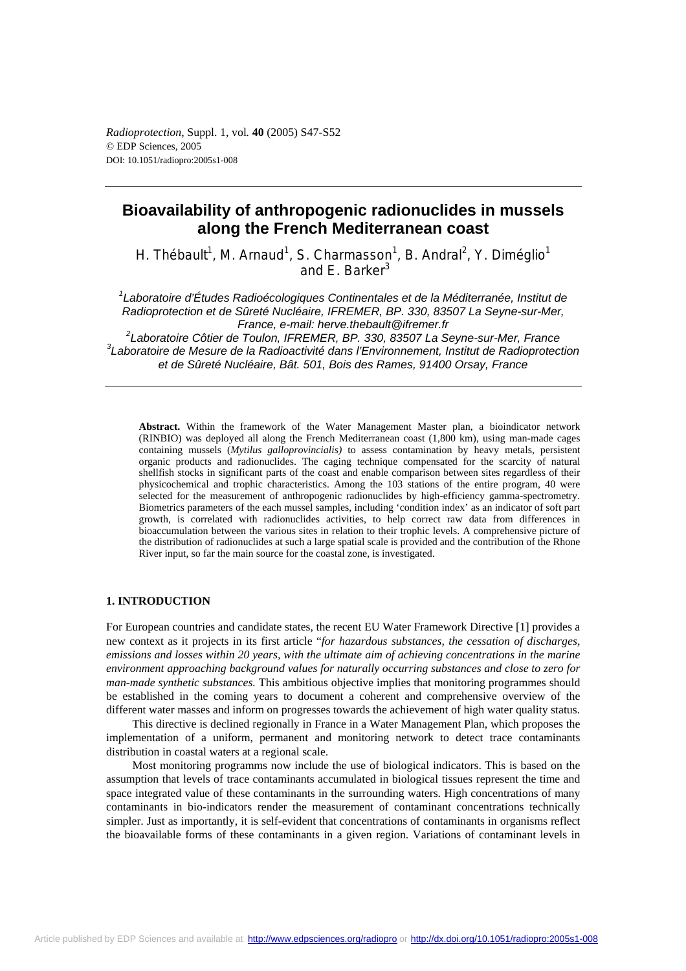*Radioprotection*, Suppl. 1, vol*.* **40** (2005) S47-S52 © EDP Sciences, 2005 DOI: 10.1051/radiopro:2005s1-008

# **Bioavailability of anthropogenic radionuclides in mussels along the French Mediterranean coast**

H. Thébault<sup>1</sup>, M. Arnaud<sup>1</sup>, S. Charmasson<sup>1</sup>, B. Andral<sup>2</sup>, Y. Diméglio<sup>1</sup> and E. Barker<sup>3</sup>

*1 Laboratoire d'Études Radioécologiques Continentales et de la Méditerranée, Institut de Radioprotection et de Sûreté Nucléaire, IFREMER, BP. 330, 83507 La Seyne-sur-Mer, France, e-mail: herve.thebault@ifremer.fr*  <sup>2</sup> Laboratoire Côtier de Toulon, IFREMER, BP. 330, 83507 La Seyne-sur-Mer, France<br><sup>3</sup> Laboratoire de Meaure de la Bediesetivité depe l'Environnement, Institut de Bedienretes

*Laboratoire de Mesure de la Radioactivité dans l'Environnement, Institut de Radioprotection et de Sûreté Nucléaire, Bât. 501, Bois des Rames, 91400 Orsay, France* 

**Abstract.** Within the framework of the Water Management Master plan, a bioindicator network (RINBIO) was deployed all along the French Mediterranean coast  $(1,800 \text{ km})$ , using man-made cages containing mussels (*Mytilus galloprovincialis)* to assess contamination by heavy metals, persistent organic products and radionuclides. The caging technique compensated for the scarcity of natural shellfish stocks in significant parts of the coast and enable comparison between sites regardless of their physicochemical and trophic characteristics. Among the 103 stations of the entire program, 40 were selected for the measurement of anthropogenic radionuclides by high-efficiency gamma-spectrometry. Biometrics parameters of the each mussel samples, including 'condition index' as an indicator of soft part growth, is correlated with radionuclides activities, to help correct raw data from differences in bioaccumulation between the various sites in relation to their trophic levels. A comprehensive picture of the distribution of radionuclides at such a large spatial scale is provided and the contribution of the Rhone River input, so far the main source for the coastal zone, is investigated.

## **1. INTRODUCTION**

For European countries and candidate states, the recent EU Water Framework Directive [1] provides a new context as it projects in its first article "*for hazardous substances, the cessation of discharges, emissions and losses within 20 years, with the ultimate aim of achieving concentrations in the marine environment approaching background values for naturally occurring substances and close to zero for man-made synthetic substances.* This ambitious objective implies that monitoring programmes should be established in the coming years to document a coherent and comprehensive overview of the different water masses and inform on progresses towards the achievement of high water quality status.

This directive is declined regionally in France in a Water Management Plan, which proposes the implementation of a uniform, permanent and monitoring network to detect trace contaminants distribution in coastal waters at a regional scale.

Most monitoring programms now include the use of biological indicators. This is based on the assumption that levels of trace contaminants accumulated in biological tissues represent the time and space integrated value of these contaminants in the surrounding waters. High concentrations of many contaminants in bio-indicators render the measurement of contaminant concentrations technically simpler. Just as importantly, it is self-evident that concentrations of contaminants in organisms reflect the bioavailable forms of these contaminants in a given region. Variations of contaminant levels in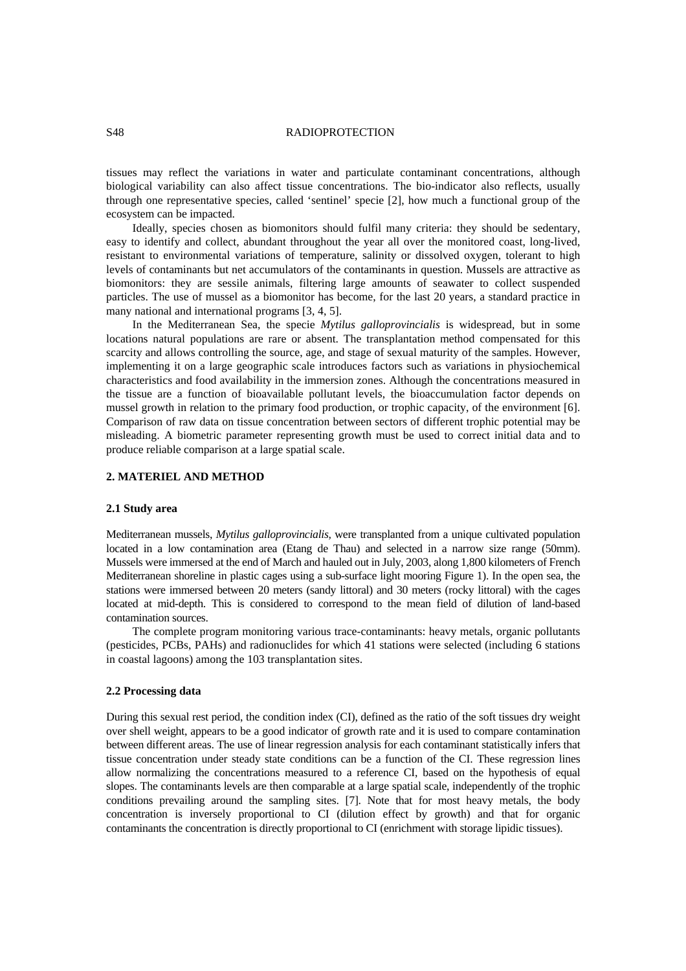## S48 RADIOPROTECTION

tissues may reflect the variations in water and particulate contaminant concentrations, although biological variability can also affect tissue concentrations. The bio-indicator also reflects, usually through one representative species, called 'sentinel' specie [2], how much a functional group of the ecosystem can be impacted.

Ideally, species chosen as biomonitors should fulfil many criteria: they should be sedentary, easy to identify and collect, abundant throughout the year all over the monitored coast, long-lived, resistant to environmental variations of temperature, salinity or dissolved oxygen, tolerant to high levels of contaminants but net accumulators of the contaminants in question. Mussels are attractive as biomonitors: they are sessile animals, filtering large amounts of seawater to collect suspended particles. The use of mussel as a biomonitor has become, for the last 20 years, a standard practice in many national and international programs [3, 4, 5].

In the Mediterranean Sea, the specie *Mytilus galloprovincialis* is widespread, but in some locations natural populations are rare or absent. The transplantation method compensated for this scarcity and allows controlling the source, age, and stage of sexual maturity of the samples. However, implementing it on a large geographic scale introduces factors such as variations in physiochemical characteristics and food availability in the immersion zones. Although the concentrations measured in the tissue are a function of bioavailable pollutant levels, the bioaccumulation factor depends on mussel growth in relation to the primary food production, or trophic capacity, of the environment [6]. Comparison of raw data on tissue concentration between sectors of different trophic potential may be misleading. A biometric parameter representing growth must be used to correct initial data and to produce reliable comparison at a large spatial scale.

## **2. MATERIEL AND METHOD**

#### **2.1 Study area**

Mediterranean mussels, *Mytilus galloprovincialis,* were transplanted from a unique cultivated population located in a low contamination area (Etang de Thau) and selected in a narrow size range (50mm). Mussels were immersed at the end of March and hauled out in July, 2003, along 1,800 kilometers of French Mediterranean shoreline in plastic cages using a sub-surface light mooring Figure 1). In the open sea, the stations were immersed between 20 meters (sandy littoral) and 30 meters (rocky littoral) with the cages located at mid-depth. This is considered to correspond to the mean field of dilution of land-based contamination sources.

The complete program monitoring various trace-contaminants: heavy metals, organic pollutants (pesticides, PCBs, PAHs) and radionuclides for which 41 stations were selected (including 6 stations in coastal lagoons) among the 103 transplantation sites.

#### **2.2 Processing data**

During this sexual rest period, the condition index (CI), defined as the ratio of the soft tissues dry weight over shell weight, appears to be a good indicator of growth rate and it is used to compare contamination between different areas. The use of linear regression analysis for each contaminant statistically infers that tissue concentration under steady state conditions can be a function of the CI. These regression lines allow normalizing the concentrations measured to a reference CI, based on the hypothesis of equal slopes. The contaminants levels are then comparable at a large spatial scale, independently of the trophic conditions prevailing around the sampling sites. [7]. Note that for most heavy metals, the body concentration is inversely proportional to CI (dilution effect by growth) and that for organic contaminants the concentration is directly proportional to CI (enrichment with storage lipidic tissues).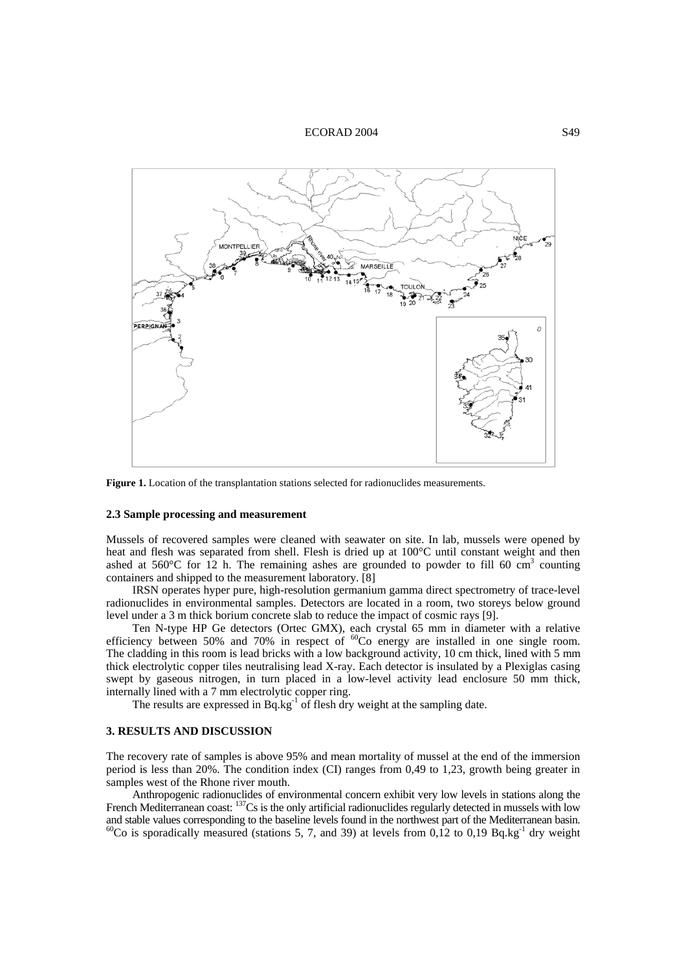#### ECORAD 2004 S49



**Figure 1.** Location of the transplantation stations selected for radionuclides measurements.

## **2.3 Sample processing and measurement**

Mussels of recovered samples were cleaned with seawater on site. In lab, mussels were opened by heat and flesh was separated from shell. Flesh is dried up at 100°C until constant weight and then ashed at  $560^{\circ}$ C for 12 h. The remaining ashes are grounded to powder to fill 60 cm<sup>3</sup> counting containers and shipped to the measurement laboratory. [8]

IRSN operates hyper pure, high-resolution germanium gamma direct spectrometry of trace-level radionuclides in environmental samples. Detectors are located in a room, two storeys below ground level under a 3 m thick borium concrete slab to reduce the impact of cosmic rays [9].

Ten N-type HP Ge detectors (Ortec GMX), each crystal 65 mm in diameter with a relative efficiency between 50% and 70% in respect of  ${}^{60}Co$  energy are installed in one single room. The cladding in this room is lead bricks with a low background activity, 10 cm thick, lined with 5 mm thick electrolytic copper tiles neutralising lead X-ray. Each detector is insulated by a Plexiglas casing swept by gaseous nitrogen, in turn placed in a low-level activity lead enclosure 50 mm thick, internally lined with a 7 mm electrolytic copper ring.

The results are expressed in  $Bq \, kg^{-1}$  of flesh dry weight at the sampling date.

#### **3. RESULTS AND DISCUSSION**

The recovery rate of samples is above 95% and mean mortality of mussel at the end of the immersion period is less than 20%. The condition index (CI) ranges from 0,49 to 1,23, growth being greater in samples west of the Rhone river mouth.

Anthropogenic radionuclides of environmental concern exhibit very low levels in stations along the French Mediterranean coast: <sup>137</sup>Cs is the only artificial radionuclides regularly detected in mussels with low and stable values corresponding to the baseline levels found in the northwest part of the Mediterranean basin. <sup>60</sup>Co is sporadically measured (stations 5, 7, and 39) at levels from 0,12 to 0,19 Bq.kg<sup>-1</sup> dry weight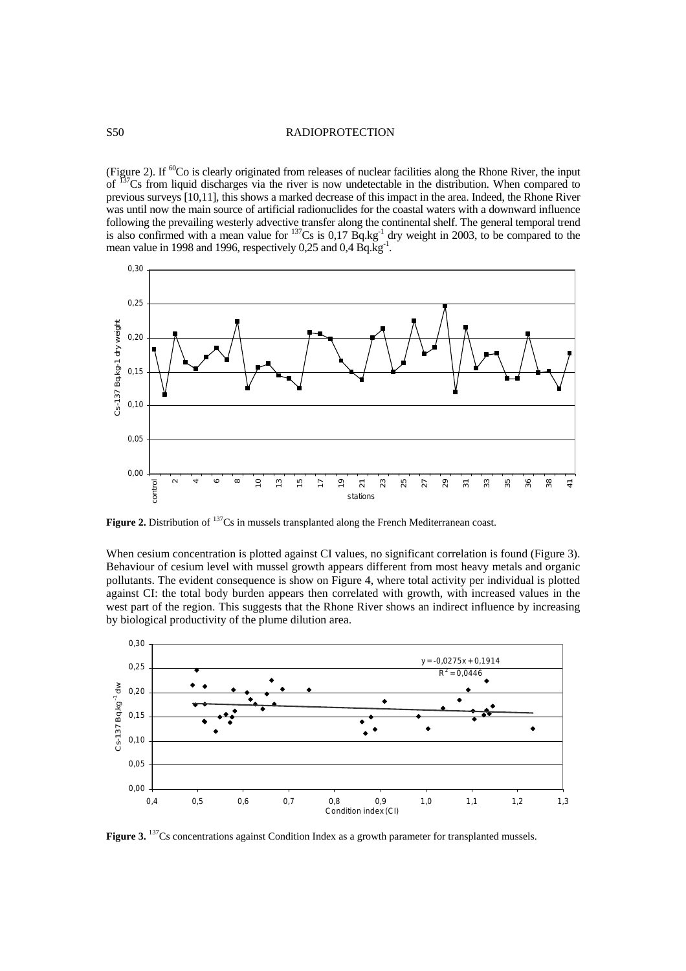#### S50 RADIOPROTECTION

(Figure 2). If  ${}^{60}$ Co is clearly originated from releases of nuclear facilities along the Rhone River, the input of 137Cs from liquid discharges via the river is now undetectable in the distribution. When compared to previous surveys [10,11], this shows a marked decrease of this impact in the area. Indeed, the Rhone River was until now the main source of artificial radionuclides for the coastal waters with a downward influence following the prevailing westerly advective transfer along the continental shelf. The general temporal trend is also confirmed with a mean value for  $^{137}Cs$  is 0,17 Bq.kg<sup>-1</sup> dry weight in 2003, to be compared to the mean value in 1998 and 1996, respectively 0,25 and 0,4 Bq.kg<sup>-1</sup>.



**Figure 2.** Distribution of <sup>137</sup>Cs in mussels transplanted along the French Mediterranean coast.

When cesium concentration is plotted against CI values, no significant correlation is found (Figure 3). Behaviour of cesium level with mussel growth appears different from most heavy metals and organic pollutants. The evident consequence is show on Figure 4, where total activity per individual is plotted against CI: the total body burden appears then correlated with growth, with increased values in the west part of the region. This suggests that the Rhone River shows an indirect influence by increasing by biological productivity of the plume dilution area.



**Figure 3.** <sup>137</sup>Cs concentrations against Condition Index as a growth parameter for transplanted mussels.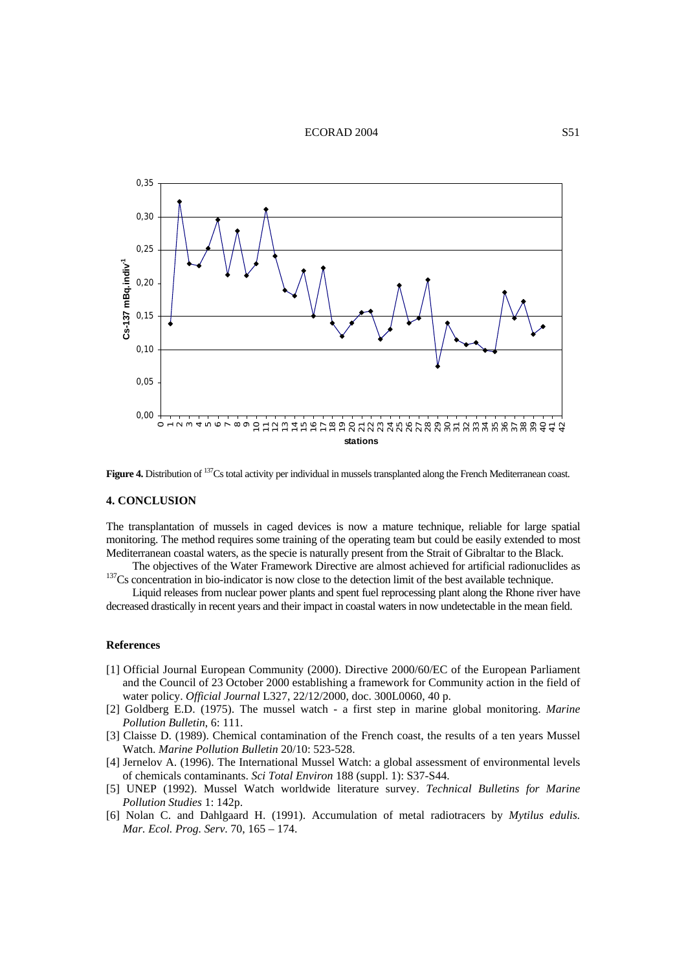#### ECORAD 2004 S51



Figure 4. Distribution of <sup>137</sup>Cs total activity per individual in mussels transplanted along the French Mediterranean coast.

#### **4. CONCLUSION**

The transplantation of mussels in caged devices is now a mature technique, reliable for large spatial monitoring. The method requires some training of the operating team but could be easily extended to most Mediterranean coastal waters, as the specie is naturally present from the Strait of Gibraltar to the Black.

The objectives of the Water Framework Directive are almost achieved for artificial radionuclides as 137Cs concentration in bio-indicator is now close to the detection limit of the best available technique.

Liquid releases from nuclear power plants and spent fuel reprocessing plant along the Rhone river have decreased drastically in recent years and their impact in coastal waters in now undetectable in the mean field.

#### **References**

- [1] Official Journal European Community (2000). Directive 2000/60/EC of the European Parliament and the Council of 23 October 2000 establishing a framework for Community action in the field of water policy. *Official Journal* L327, 22/12/2000, doc. 300L0060, 40 p.
- [2] Goldberg E.D. (1975). The mussel watch a first step in marine global monitoring. *Marine Pollution Bulletin*, 6: 111.
- [3] Claisse D. (1989). Chemical contamination of the French coast, the results of a ten years Mussel Watch. *Marine Pollution Bulletin* 20/10: 523-528.
- [4] Jernelov A. (1996). The International Mussel Watch: a global assessment of environmental levels of chemicals contaminants. *Sci Total Environ* 188 (suppl. 1): S37-S44.
- [5] UNEP (1992). Mussel Watch worldwide literature survey. *Technical Bulletins for Marine Pollution Studies* 1: 142p.
- [6] Nolan C. and Dahlgaard H. (1991). Accumulation of metal radiotracers by *Mytilus edulis. Mar. Ecol. Prog. Serv*. 70, 165 – 174.